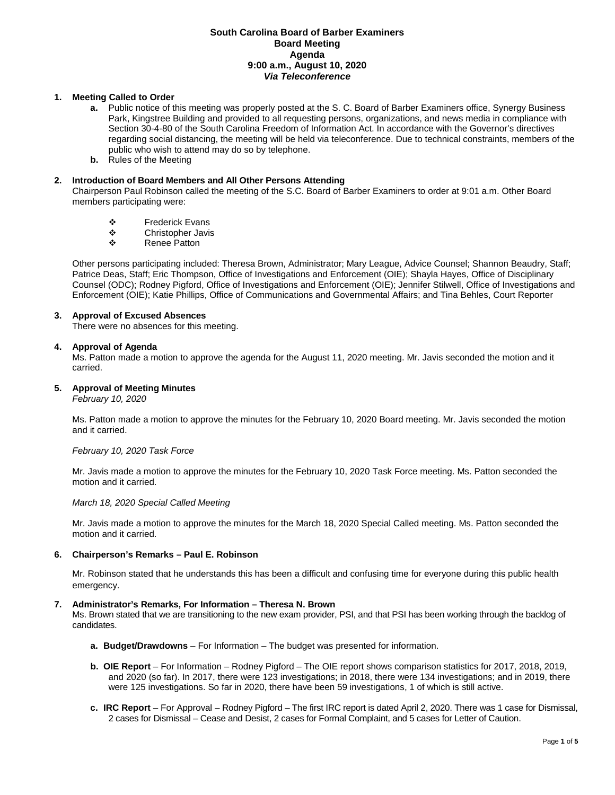# **South Carolina Board of Barber Examiners Board Meeting Agenda 9:00 a.m., August 10, 2020** *Via Teleconference*

# **1. Meeting Called to Order**

- **a.** Public notice of this meeting was properly posted at the S. C. Board of Barber Examiners office, Synergy Business Park, Kingstree Building and provided to all requesting persons, organizations, and news media in compliance with Section 30-4-80 of the South Carolina Freedom of Information Act. In accordance with the Governor's directives regarding social distancing, the meeting will be held via teleconference. Due to technical constraints, members of the public who wish to attend may do so by telephone.
- **b.** Rules of the Meeting

## **2. Introduction of Board Members and All Other Persons Attending**

Chairperson Paul Robinson called the meeting of the S.C. Board of Barber Examiners to order at 9:01 a.m. Other Board members participating were:

- **❖** Frederick Evans<br>❖ Christopher Javis
- ❖ Christopher Javis<br>❖ Renee Patton
- Renee Patton

Other persons participating included: Theresa Brown, Administrator; Mary League, Advice Counsel; Shannon Beaudry, Staff; Patrice Deas, Staff; Eric Thompson, Office of Investigations and Enforcement (OIE); Shayla Hayes, Office of Disciplinary Counsel (ODC); Rodney Pigford, Office of Investigations and Enforcement (OIE); Jennifer Stilwell, Office of Investigations and Enforcement (OIE); Katie Phillips, Office of Communications and Governmental Affairs; and Tina Behles, Court Reporter

## **3. Approval of Excused Absences**

There were no absences for this meeting.

## **4. Approval of Agenda**

Ms. Patton made a motion to approve the agenda for the August 11, 2020 meeting. Mr. Javis seconded the motion and it carried.

## **5. Approval of Meeting Minutes**

*February 10, 2020*

Ms. Patton made a motion to approve the minutes for the February 10, 2020 Board meeting. Mr. Javis seconded the motion and it carried.

## *February 10, 2020 Task Force*

Mr. Javis made a motion to approve the minutes for the February 10, 2020 Task Force meeting. Ms. Patton seconded the motion and it carried.

## *March 18, 2020 Special Called Meeting*

Mr. Javis made a motion to approve the minutes for the March 18, 2020 Special Called meeting. Ms. Patton seconded the motion and it carried.

## **6. Chairperson's Remarks – Paul E. Robinson**

Mr. Robinson stated that he understands this has been a difficult and confusing time for everyone during this public health emergency.

## **7. Administrator's Remarks, For Information – Theresa N. Brown**

Ms. Brown stated that we are transitioning to the new exam provider, PSI, and that PSI has been working through the backlog of candidates.

- **a. Budget/Drawdowns** For Information The budget was presented for information.
- **b. OIE Report**  For Information Rodney Pigford The OIE report shows comparison statistics for 2017, 2018, 2019, and 2020 (so far). In 2017, there were 123 investigations; in 2018, there were 134 investigations; and in 2019, there were 125 investigations. So far in 2020, there have been 59 investigations, 1 of which is still active.
- **c. IRC Report**  For Approval Rodney Pigford The first IRC report is dated April 2, 2020. There was 1 case for Dismissal, 2 cases for Dismissal – Cease and Desist, 2 cases for Formal Complaint, and 5 cases for Letter of Caution.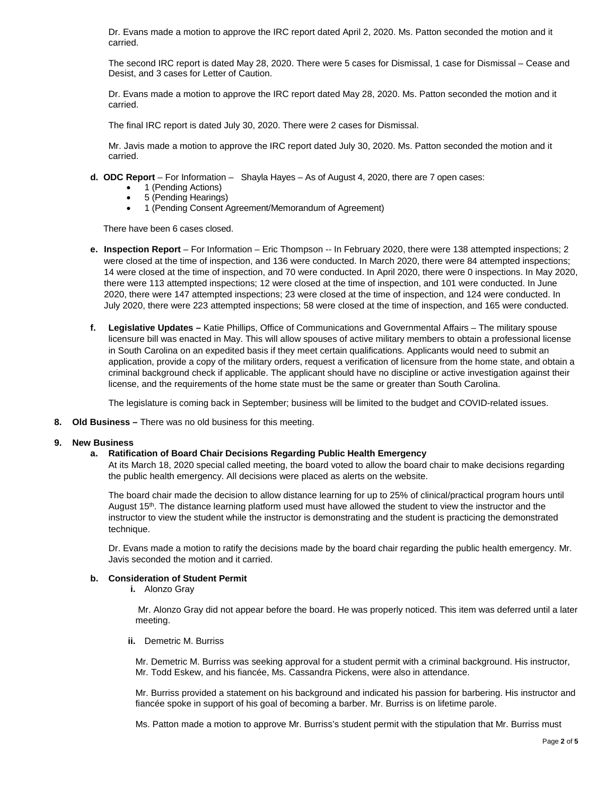Dr. Evans made a motion to approve the IRC report dated April 2, 2020. Ms. Patton seconded the motion and it carried.

The second IRC report is dated May 28, 2020. There were 5 cases for Dismissal, 1 case for Dismissal – Cease and Desist, and 3 cases for Letter of Caution.

Dr. Evans made a motion to approve the IRC report dated May 28, 2020. Ms. Patton seconded the motion and it carried.

The final IRC report is dated July 30, 2020. There were 2 cases for Dismissal.

Mr. Javis made a motion to approve the IRC report dated July 30, 2020. Ms. Patton seconded the motion and it carried.

- **d. ODC Report**  For Information Shayla Hayes As of August 4, 2020, there are 7 open cases:
	- 1 (Pending Actions)
	- 5 (Pending Hearings)
	- 1 (Pending Consent Agreement/Memorandum of Agreement)

There have been 6 cases closed.

- **e. Inspection Report** For Information Eric Thompson -- In February 2020, there were 138 attempted inspections; 2 were closed at the time of inspection, and 136 were conducted. In March 2020, there were 84 attempted inspections; 14 were closed at the time of inspection, and 70 were conducted. In April 2020, there were 0 inspections. In May 2020, there were 113 attempted inspections; 12 were closed at the time of inspection, and 101 were conducted. In June 2020, there were 147 attempted inspections; 23 were closed at the time of inspection, and 124 were conducted. In July 2020, there were 223 attempted inspections; 58 were closed at the time of inspection, and 165 were conducted.
- **f. Legislative Updates –** Katie Phillips, Office of Communications and Governmental Affairs The military spouse licensure bill was enacted in May. This will allow spouses of active military members to obtain a professional license in South Carolina on an expedited basis if they meet certain qualifications. Applicants would need to submit an application, provide a copy of the military orders, request a verification of licensure from the home state, and obtain a criminal background check if applicable. The applicant should have no discipline or active investigation against their license, and the requirements of the home state must be the same or greater than South Carolina.

The legislature is coming back in September; business will be limited to the budget and COVID-related issues.

**8. Old Business –** There was no old business for this meeting.

# **9. New Business**

# **a. Ratification of Board Chair Decisions Regarding Public Health Emergency**

At its March 18, 2020 special called meeting, the board voted to allow the board chair to make decisions regarding the public health emergency. All decisions were placed as alerts on the website.

The board chair made the decision to allow distance learning for up to 25% of clinical/practical program hours until August 15<sup>th</sup>. The distance learning platform used must have allowed the student to view the instructor and the instructor to view the student while the instructor is demonstrating and the student is practicing the demonstrated technique.

Dr. Evans made a motion to ratify the decisions made by the board chair regarding the public health emergency. Mr. Javis seconded the motion and it carried.

# **b. Consideration of Student Permit**

**i.** Alonzo Gray

Mr. Alonzo Gray did not appear before the board. He was properly noticed. This item was deferred until a later meeting.

**ii.** Demetric M. Burriss

Mr. Demetric M. Burriss was seeking approval for a student permit with a criminal background. His instructor, Mr. Todd Eskew, and his fiancée, Ms. Cassandra Pickens, were also in attendance.

Mr. Burriss provided a statement on his background and indicated his passion for barbering. His instructor and fiancée spoke in support of his goal of becoming a barber. Mr. Burriss is on lifetime parole.

Ms. Patton made a motion to approve Mr. Burriss's student permit with the stipulation that Mr. Burriss must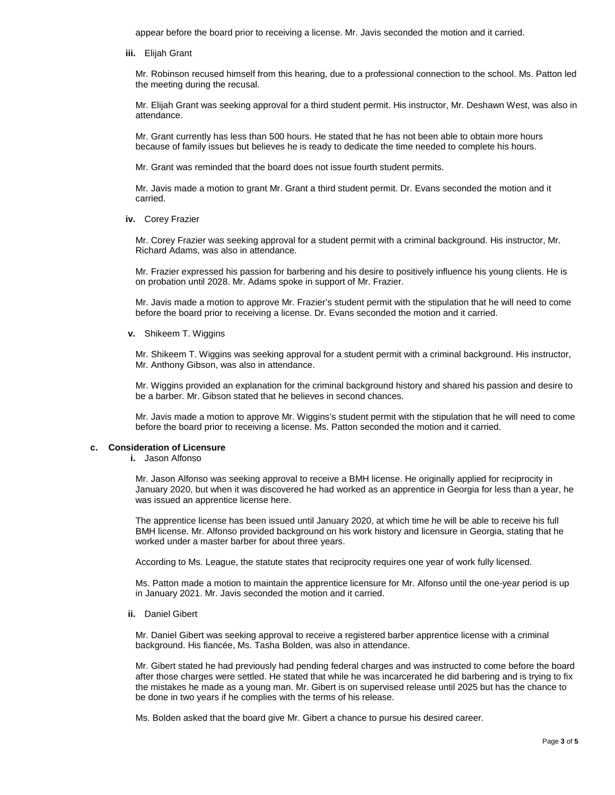appear before the board prior to receiving a license. Mr. Javis seconded the motion and it carried.

**iii.** Elijah Grant

Mr. Robinson recused himself from this hearing, due to a professional connection to the school. Ms. Patton led the meeting during the recusal.

Mr. Elijah Grant was seeking approval for a third student permit. His instructor, Mr. Deshawn West, was also in attendance.

Mr. Grant currently has less than 500 hours. He stated that he has not been able to obtain more hours because of family issues but believes he is ready to dedicate the time needed to complete his hours.

Mr. Grant was reminded that the board does not issue fourth student permits.

Mr. Javis made a motion to grant Mr. Grant a third student permit. Dr. Evans seconded the motion and it carried.

**iv.** Corey Frazier

Mr. Corey Frazier was seeking approval for a student permit with a criminal background. His instructor, Mr. Richard Adams, was also in attendance.

Mr. Frazier expressed his passion for barbering and his desire to positively influence his young clients. He is on probation until 2028. Mr. Adams spoke in support of Mr. Frazier.

Mr. Javis made a motion to approve Mr. Frazier's student permit with the stipulation that he will need to come before the board prior to receiving a license. Dr. Evans seconded the motion and it carried.

**v.** Shikeem T. Wiggins

Mr. Shikeem T. Wiggins was seeking approval for a student permit with a criminal background. His instructor, Mr. Anthony Gibson, was also in attendance.

Mr. Wiggins provided an explanation for the criminal background history and shared his passion and desire to be a barber. Mr. Gibson stated that he believes in second chances.

Mr. Javis made a motion to approve Mr. Wiggins's student permit with the stipulation that he will need to come before the board prior to receiving a license. Ms. Patton seconded the motion and it carried.

## **c. Consideration of Licensure**

**i.** Jason Alfonso

Mr. Jason Alfonso was seeking approval to receive a BMH license. He originally applied for reciprocity in January 2020, but when it was discovered he had worked as an apprentice in Georgia for less than a year, he was issued an apprentice license here.

The apprentice license has been issued until January 2020, at which time he will be able to receive his full BMH license. Mr. Alfonso provided background on his work history and licensure in Georgia, stating that he worked under a master barber for about three years.

According to Ms. League, the statute states that reciprocity requires one year of work fully licensed.

Ms. Patton made a motion to maintain the apprentice licensure for Mr. Alfonso until the one-year period is up in January 2021. Mr. Javis seconded the motion and it carried.

**ii.** Daniel Gibert

Mr. Daniel Gibert was seeking approval to receive a registered barber apprentice license with a criminal background. His fiancée, Ms. Tasha Bolden, was also in attendance.

Mr. Gibert stated he had previously had pending federal charges and was instructed to come before the board after those charges were settled. He stated that while he was incarcerated he did barbering and is trying to fix the mistakes he made as a young man. Mr. Gibert is on supervised release until 2025 but has the chance to be done in two years if he complies with the terms of his release.

Ms. Bolden asked that the board give Mr. Gibert a chance to pursue his desired career.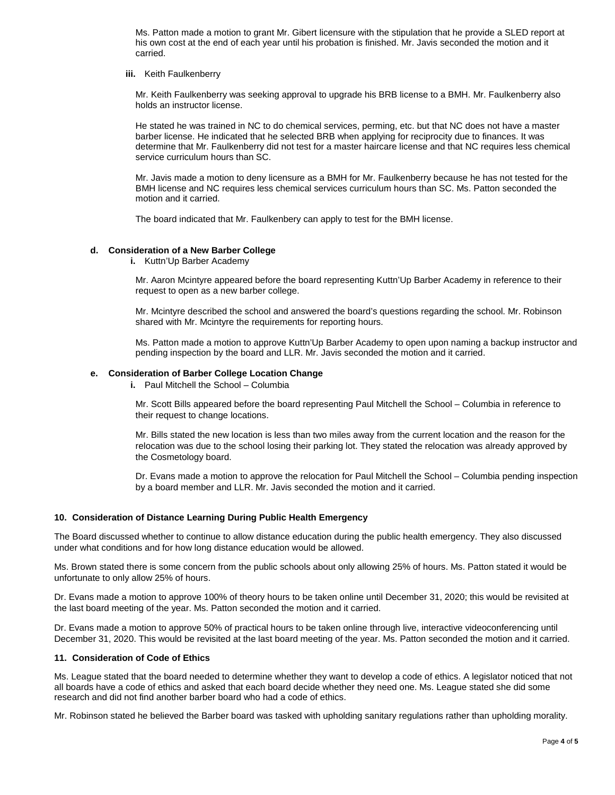Ms. Patton made a motion to grant Mr. Gibert licensure with the stipulation that he provide a SLED report at his own cost at the end of each year until his probation is finished. Mr. Javis seconded the motion and it carried.

### **iii.** Keith Faulkenberry

Mr. Keith Faulkenberry was seeking approval to upgrade his BRB license to a BMH. Mr. Faulkenberry also holds an instructor license.

He stated he was trained in NC to do chemical services, perming, etc. but that NC does not have a master barber license. He indicated that he selected BRB when applying for reciprocity due to finances. It was determine that Mr. Faulkenberry did not test for a master haircare license and that NC requires less chemical service curriculum hours than SC.

Mr. Javis made a motion to deny licensure as a BMH for Mr. Faulkenberry because he has not tested for the BMH license and NC requires less chemical services curriculum hours than SC. Ms. Patton seconded the motion and it carried.

The board indicated that Mr. Faulkenbery can apply to test for the BMH license.

# **d. Consideration of a New Barber College**

**i.** Kuttn'Up Barber Academy

Mr. Aaron Mcintyre appeared before the board representing Kuttn'Up Barber Academy in reference to their request to open as a new barber college.

Mr. Mcintyre described the school and answered the board's questions regarding the school. Mr. Robinson shared with Mr. Mcintyre the requirements for reporting hours.

Ms. Patton made a motion to approve Kuttn'Up Barber Academy to open upon naming a backup instructor and pending inspection by the board and LLR. Mr. Javis seconded the motion and it carried.

#### **e. Consideration of Barber College Location Change**

**i.** Paul Mitchell the School – Columbia

Mr. Scott Bills appeared before the board representing Paul Mitchell the School – Columbia in reference to their request to change locations.

Mr. Bills stated the new location is less than two miles away from the current location and the reason for the relocation was due to the school losing their parking lot. They stated the relocation was already approved by the Cosmetology board.

Dr. Evans made a motion to approve the relocation for Paul Mitchell the School – Columbia pending inspection by a board member and LLR. Mr. Javis seconded the motion and it carried.

# **10. Consideration of Distance Learning During Public Health Emergency**

The Board discussed whether to continue to allow distance education during the public health emergency. They also discussed under what conditions and for how long distance education would be allowed.

Ms. Brown stated there is some concern from the public schools about only allowing 25% of hours. Ms. Patton stated it would be unfortunate to only allow 25% of hours.

Dr. Evans made a motion to approve 100% of theory hours to be taken online until December 31, 2020; this would be revisited at the last board meeting of the year. Ms. Patton seconded the motion and it carried.

Dr. Evans made a motion to approve 50% of practical hours to be taken online through live, interactive videoconferencing until December 31, 2020. This would be revisited at the last board meeting of the year. Ms. Patton seconded the motion and it carried.

#### **11. Consideration of Code of Ethics**

Ms. League stated that the board needed to determine whether they want to develop a code of ethics. A legislator noticed that not all boards have a code of ethics and asked that each board decide whether they need one. Ms. League stated she did some research and did not find another barber board who had a code of ethics.

Mr. Robinson stated he believed the Barber board was tasked with upholding sanitary regulations rather than upholding morality.